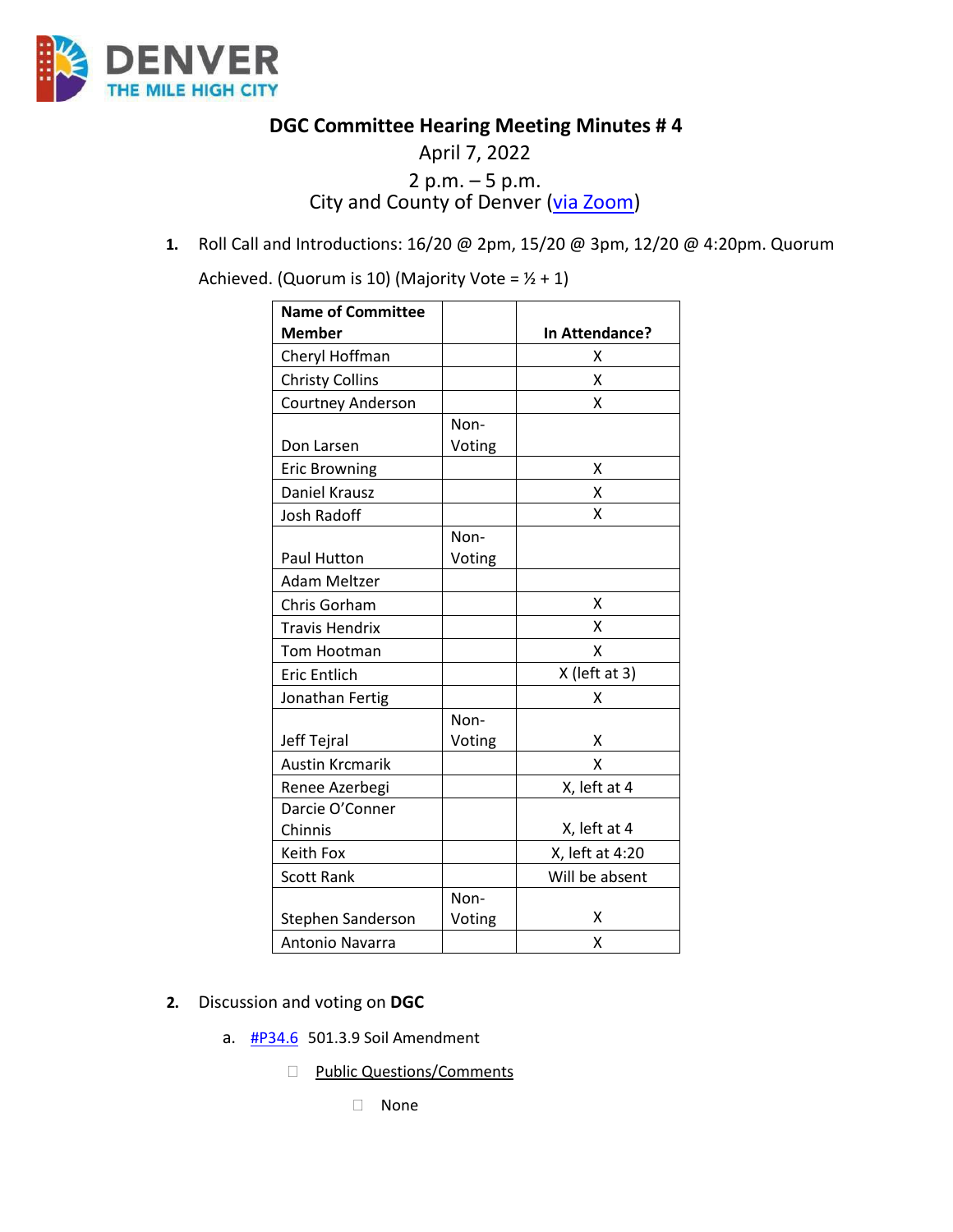

**DGC Committee Hearing Meeting Minutes # 4** 

# April 7, 2022 2 p.m. – 5 p.m. City and County of Denver [\(via Zoom\)](https://carrier.zoom.us/webinar/register/WN_pCeas4sATwuPSmruqBkw1Q)

**1.** Roll Call and Introductions: 16/20 @ 2pm, 15/20 @ 3pm, 12/20 @ 4:20pm. Quorum

Achieved. (Quorum is 10) (Majority Vote =  $1/2 + 1$ )

| <b>Name of Committee</b> |        |                 |
|--------------------------|--------|-----------------|
| <b>Member</b>            |        | In Attendance?  |
| Cheryl Hoffman           |        | x               |
| <b>Christy Collins</b>   |        | Χ               |
| Courtney Anderson        |        | X               |
|                          | Non-   |                 |
| Don Larsen               | Voting |                 |
| <b>Eric Browning</b>     |        | x               |
| Daniel Krausz            |        | x               |
| <b>Josh Radoff</b>       |        | X               |
|                          | Non-   |                 |
| <b>Paul Hutton</b>       | Voting |                 |
| Adam Meltzer             |        |                 |
| Chris Gorham             |        | X               |
| Travis Hendrix           |        | x               |
| Tom Hootman              |        | x               |
| <b>Eric Entlich</b>      |        | X (left at 3)   |
| Jonathan Fertig          |        | Χ               |
|                          | Non-   |                 |
| Jeff Tejral              | Voting | x               |
| <b>Austin Krcmarik</b>   |        | χ               |
| Renee Azerbegi           |        | X, left at 4    |
| Darcie O'Conner          |        |                 |
| Chinnis                  |        | X, left at 4    |
| Keith Fox                |        | X, left at 4:20 |
| <b>Scott Rank</b>        |        | Will be absent  |
|                          | Non-   |                 |
| Stephen Sanderson        | Voting | x               |
| <b>Antonio Navarra</b>   |        | x               |

- **2.** Discussion and voting on **DGC** 
	- a. [#P34.6](https://www.denvergov.org/files/assets/public/community-planning-and-development/documents/ds/building-codes/code-adoption/amendment-proposals/dgc/dgc-501.3.9.pdf) 501.3.9 Soil Amendment
		- D Public Questions/Comments
			- None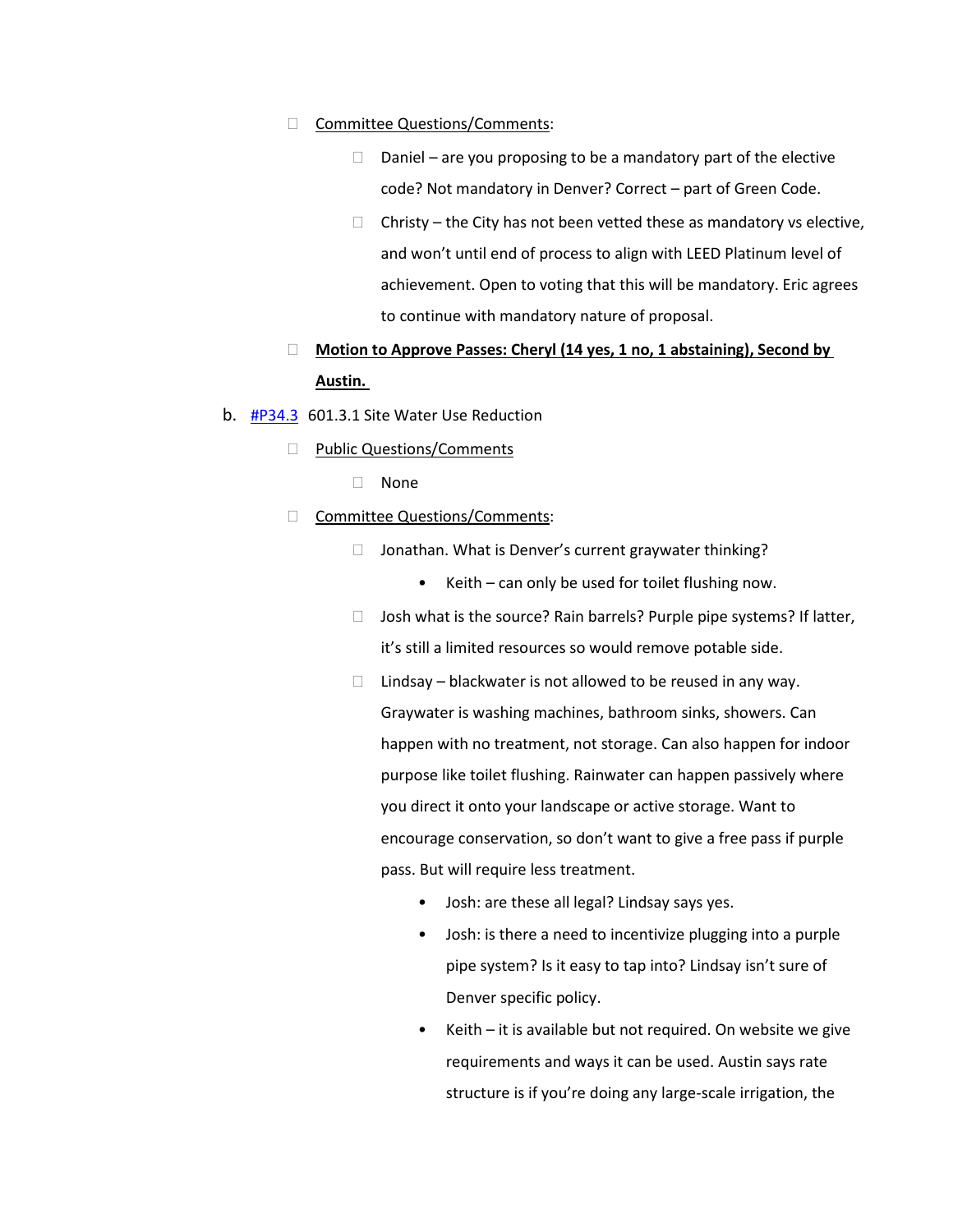### □ Committee Questions/Comments:

- $\Box$  Daniel are you proposing to be a mandatory part of the elective code? Not mandatory in Denver? Correct – part of Green Code.
- $\Box$  Christy the City has not been vetted these as mandatory vs elective, and won't until end of process to align with LEED Platinum level of achievement. Open to voting that this will be mandatory. Eric agrees to continue with mandatory nature of proposal.
- **Motion to Approve Passes: Cheryl (14 yes, 1 no, 1 abstaining), Second by Austin.**
- b. [#P34.3](https://www.denvergov.org/files/assets/public/community-planning-and-development/documents/ds/building-codes/code-adoption/amendment-proposals/dgc/dgc-601.3.1.pdf) 601.3.1 Site Water Use Reduction
	- D Public Questions/Comments
		- None
	- □ Committee Questions/Comments:
		- $\Box$  Jonathan. What is Denver's current graywater thinking?
			- Keith can only be used for toilet flushing now.
		- $\Box$  Josh what is the source? Rain barrels? Purple pipe systems? If latter, it's still a limited resources so would remove potable side.
		- $\Box$  Lindsay blackwater is not allowed to be reused in any way. Graywater is washing machines, bathroom sinks, showers. Can happen with no treatment, not storage. Can also happen for indoor purpose like toilet flushing. Rainwater can happen passively where you direct it onto your landscape or active storage. Want to encourage conservation, so don't want to give a free pass if purple pass. But will require less treatment.
			- Josh: are these all legal? Lindsay says yes.
			- Josh: is there a need to incentivize plugging into a purple pipe system? Is it easy to tap into? Lindsay isn't sure of Denver specific policy.
			- Keith  $-$  it is available but not required. On website we give requirements and ways it can be used. Austin says rate structure is if you're doing any large-scale irrigation, the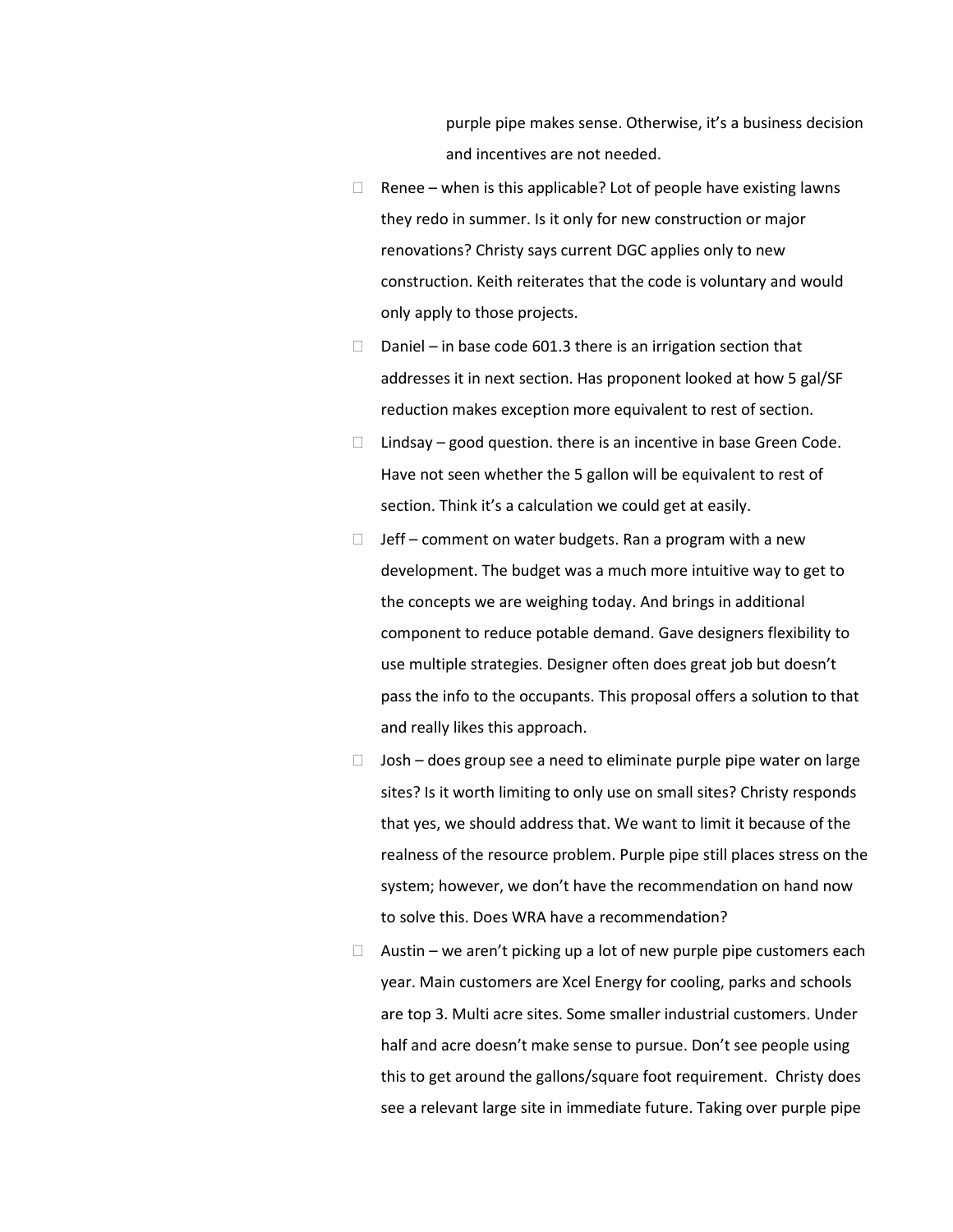purple pipe makes sense. Otherwise, it's a business decision and incentives are not needed.

- $\Box$  Renee when is this applicable? Lot of people have existing lawns they redo in summer. Is it only for new construction or major renovations? Christy says current DGC applies only to new construction. Keith reiterates that the code is voluntary and would only apply to those projects.
- D Daniel in base code 601.3 there is an irrigation section that addresses it in next section. Has proponent looked at how 5 gal/SF reduction makes exception more equivalent to rest of section.
- $\Box$  Lindsay good question. there is an incentive in base Green Code. Have not seen whether the 5 gallon will be equivalent to rest of section. Think it's a calculation we could get at easily.
- $\Box$  Jeff comment on water budgets. Ran a program with a new development. The budget was a much more intuitive way to get to the concepts we are weighing today. And brings in additional component to reduce potable demand. Gave designers flexibility to use multiple strategies. Designer often does great job but doesn't pass the info to the occupants. This proposal offers a solution to that and really likes this approach.
- $\Box$  Josh does group see a need to eliminate purple pipe water on large sites? Is it worth limiting to only use on small sites? Christy responds that yes, we should address that. We want to limit it because of the realness of the resource problem. Purple pipe still places stress on the system; however, we don't have the recommendation on hand now to solve this. Does WRA have a recommendation?
- $\Box$  Austin we aren't picking up a lot of new purple pipe customers each year. Main customers are Xcel Energy for cooling, parks and schools are top 3. Multi acre sites. Some smaller industrial customers. Under half and acre doesn't make sense to pursue. Don't see people using this to get around the gallons/square foot requirement. Christy does see a relevant large site in immediate future. Taking over purple pipe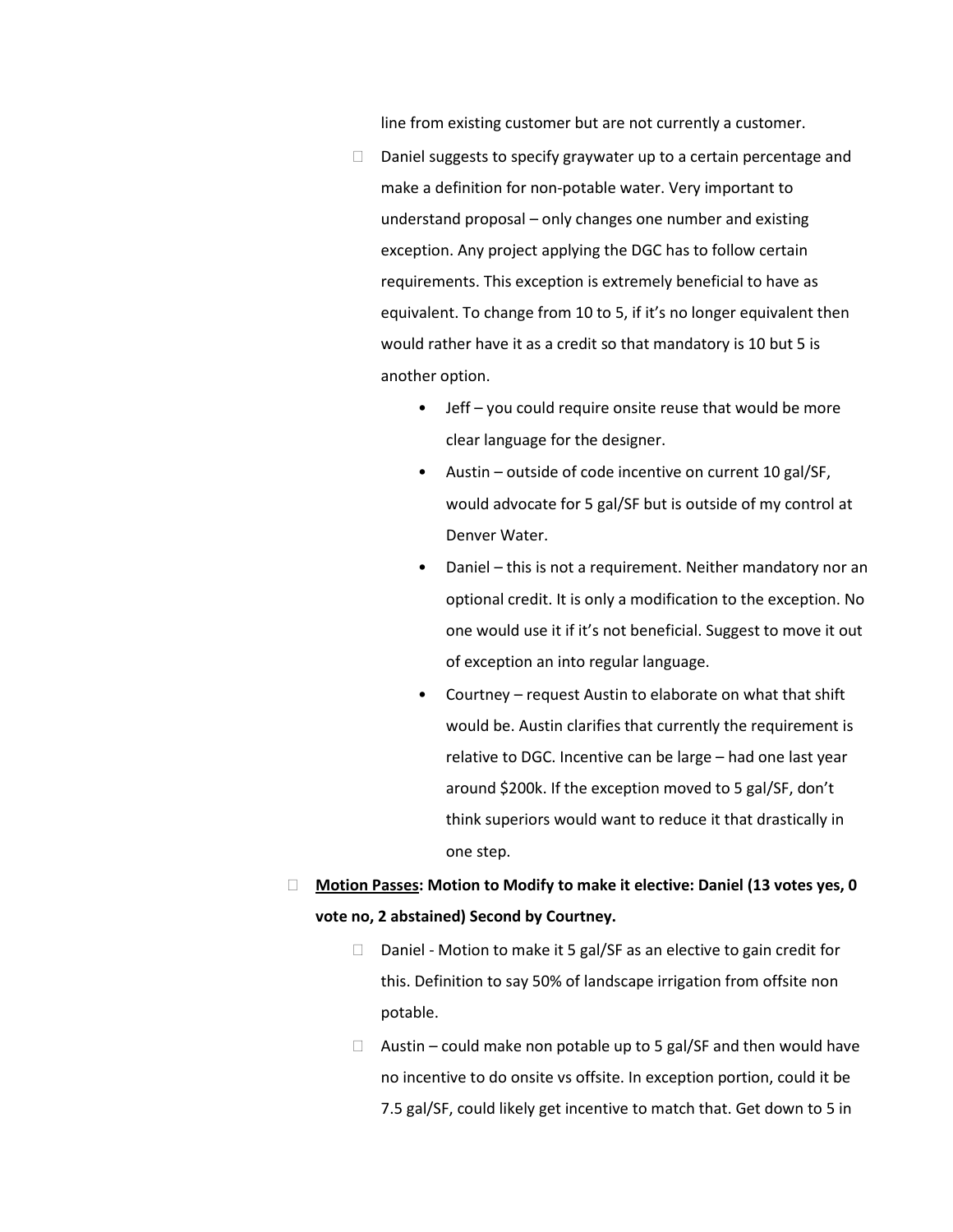line from existing customer but are not currently a customer.

- $\Box$  Daniel suggests to specify graywater up to a certain percentage and make a definition for non-potable water. Very important to understand proposal – only changes one number and existing exception. Any project applying the DGC has to follow certain requirements. This exception is extremely beneficial to have as equivalent. To change from 10 to 5, if it's no longer equivalent then would rather have it as a credit so that mandatory is 10 but 5 is another option.
	- Jeff you could require onsite reuse that would be more clear language for the designer.
	- Austin outside of code incentive on current 10 gal/SF, would advocate for 5 gal/SF but is outside of my control at Denver Water.
	- Daniel this is not a requirement. Neither mandatory nor an optional credit. It is only a modification to the exception. No one would use it if it's not beneficial. Suggest to move it out of exception an into regular language.
	- Courtney request Austin to elaborate on what that shift would be. Austin clarifies that currently the requirement is relative to DGC. Incentive can be large – had one last year around \$200k. If the exception moved to 5 gal/SF, don't think superiors would want to reduce it that drastically in one step.
- **Motion Passes: Motion to Modify to make it elective: Daniel (13 votes yes, 0 vote no, 2 abstained) Second by Courtney.** 
	- $\Box$  Daniel Motion to make it 5 gal/SF as an elective to gain credit for this. Definition to say 50% of landscape irrigation from offsite non potable.
	- $\Box$  Austin could make non potable up to 5 gal/SF and then would have no incentive to do onsite vs offsite. In exception portion, could it be 7.5 gal/SF, could likely get incentive to match that. Get down to 5 in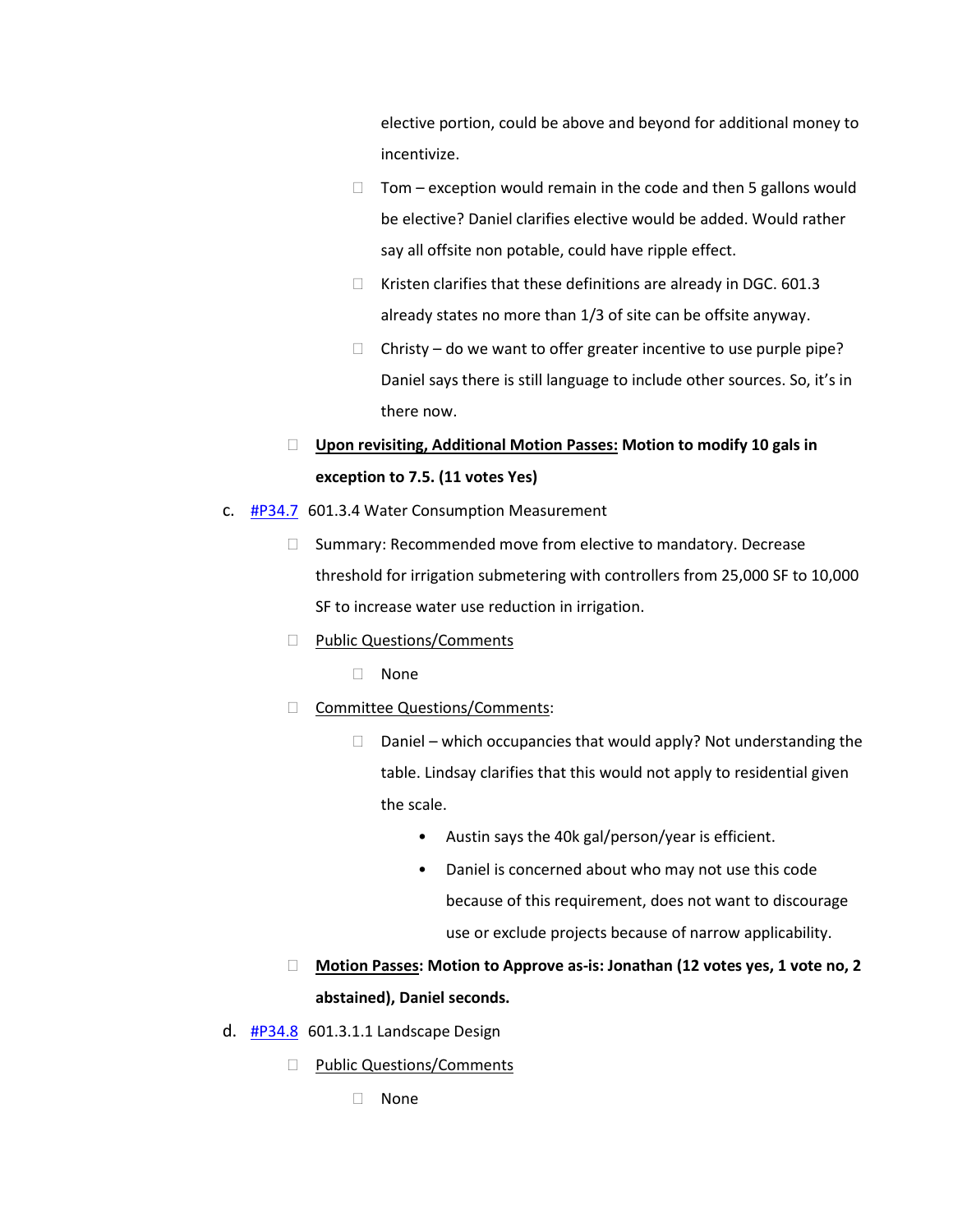elective portion, could be above and beyond for additional money to incentivize.

- $\Box$  Tom exception would remain in the code and then 5 gallons would be elective? Daniel clarifies elective would be added. Would rather say all offsite non potable, could have ripple effect.
- $\Box$  Kristen clarifies that these definitions are already in DGC. 601.3 already states no more than 1/3 of site can be offsite anyway.
- $\Box$  Christy do we want to offer greater incentive to use purple pipe? Daniel says there is still language to include other sources. So, it's in there now.

# **Upon revisiting, Additional Motion Passes: Motion to modify 10 gals in exception to 7.5. (11 votes Yes)**

- c.  $\frac{\text{HP34.7}}{\text{HP34.7}}$  601.3.4 Water Consumption Measurement
	- $\Box$  Summary: Recommended move from elective to mandatory. Decrease threshold for irrigation submetering with controllers from 25,000 SF to 10,000 SF to increase water use reduction in irrigation.
	- D Public Questions/Comments
		- None
	- Committee Questions/Comments:
		- $\Box$  Daniel which occupancies that would apply? Not understanding the table. Lindsay clarifies that this would not apply to residential given the scale.
			- Austin says the 40k gal/person/year is efficient.
			- Daniel is concerned about who may not use this code because of this requirement, does not want to discourage use or exclude projects because of narrow applicability.
	- **Motion Passes: Motion to Approve as-is: Jonathan (12 votes yes, 1 vote no, 2 abstained), Daniel seconds.**
- d. [#P34.8](https://www.denvergov.org/files/assets/public/community-planning-and-development/documents/ds/building-codes/code-adoption/amendment-proposals/dgc/dgc-601.3.1.1.pdf) 601.3.1.1 Landscape Design
	- D Public Questions/Comments
		- None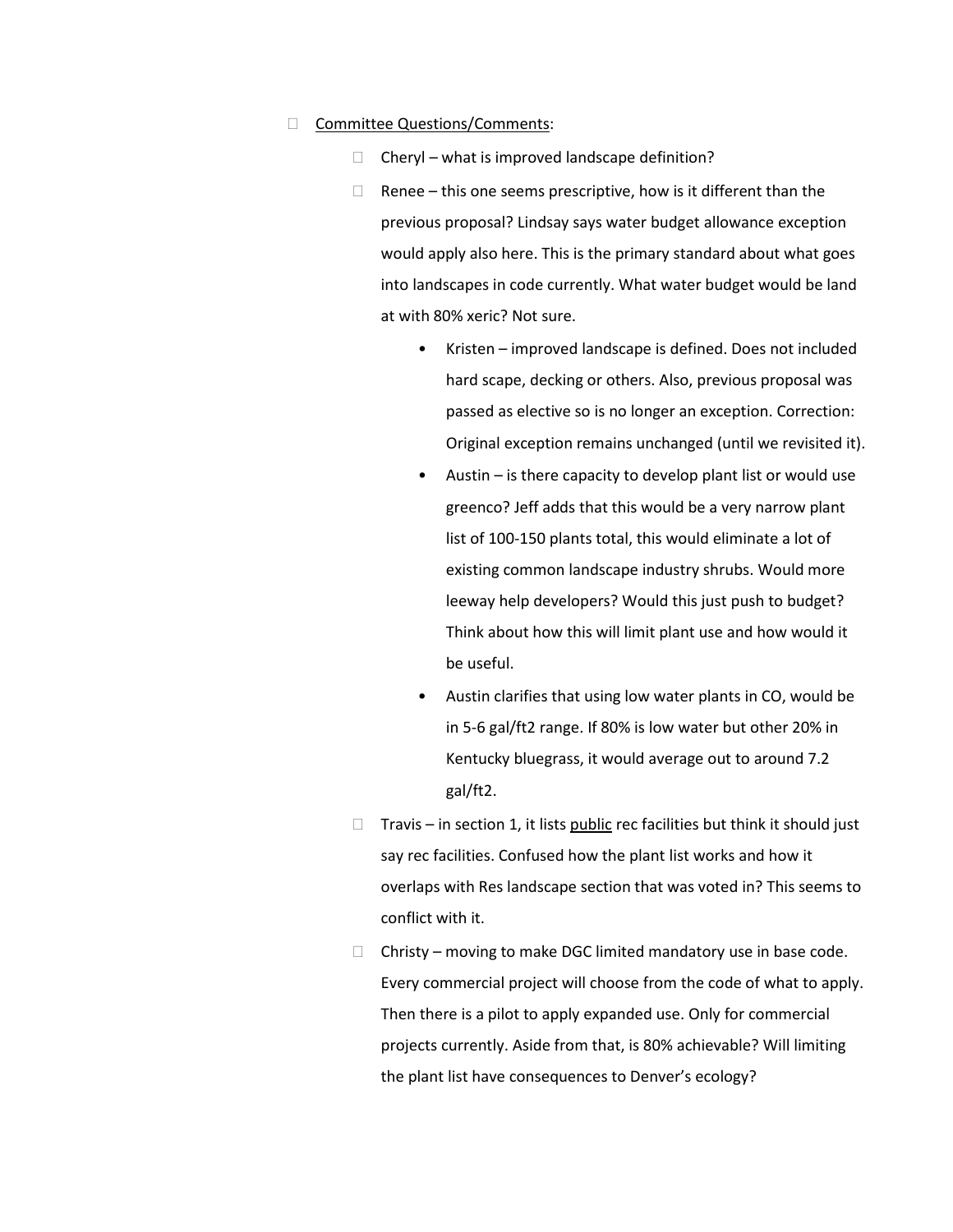### □ Committee Questions/Comments:

- $\Box$  Cheryl what is improved landscape definition?
- $\Box$  Renee this one seems prescriptive, how is it different than the previous proposal? Lindsay says water budget allowance exception would apply also here. This is the primary standard about what goes into landscapes in code currently. What water budget would be land at with 80% xeric? Not sure.
	- Kristen improved landscape is defined. Does not included hard scape, decking or others. Also, previous proposal was passed as elective so is no longer an exception. Correction: Original exception remains unchanged (until we revisited it).
	- Austin is there capacity to develop plant list or would use greenco? Jeff adds that this would be a very narrow plant list of 100-150 plants total, this would eliminate a lot of existing common landscape industry shrubs. Would more leeway help developers? Would this just push to budget? Think about how this will limit plant use and how would it be useful.
	- Austin clarifies that using low water plants in CO, would be in 5-6 gal/ft2 range. If 80% is low water but other 20% in Kentucky bluegrass, it would average out to around 7.2 gal/ft2.
- $\Box$  Travis in section 1, it lists public rec facilities but think it should just say rec facilities. Confused how the plant list works and how it overlaps with Res landscape section that was voted in? This seems to conflict with it.
- $\Box$  Christy moving to make DGC limited mandatory use in base code. Every commercial project will choose from the code of what to apply. Then there is a pilot to apply expanded use. Only for commercial projects currently. Aside from that, is 80% achievable? Will limiting the plant list have consequences to Denver's ecology?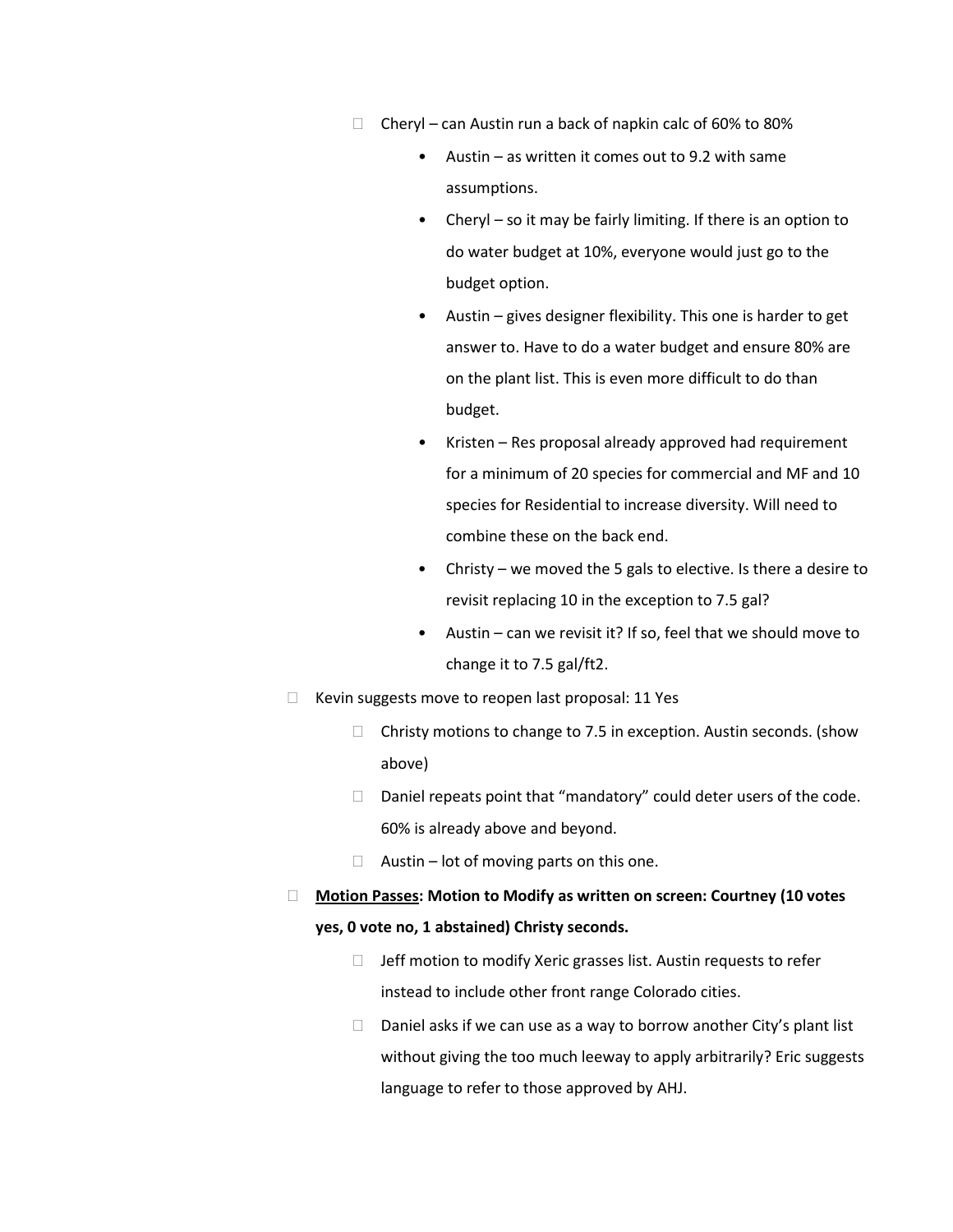- $\Box$  Cheryl can Austin run a back of napkin calc of 60% to 80%
	- Austin as written it comes out to 9.2 with same assumptions.
	- Cheryl so it may be fairly limiting. If there is an option to do water budget at 10%, everyone would just go to the budget option.
	- Austin gives designer flexibility. This one is harder to get answer to. Have to do a water budget and ensure 80% are on the plant list. This is even more difficult to do than budget.
	- Kristen Res proposal already approved had requirement for a minimum of 20 species for commercial and MF and 10 species for Residential to increase diversity. Will need to combine these on the back end.
	- Christy we moved the 5 gals to elective. Is there a desire to revisit replacing 10 in the exception to 7.5 gal?
	- Austin can we revisit it? If so, feel that we should move to change it to 7.5 gal/ft2.
- $\Box$  Kevin suggests move to reopen last proposal: 11 Yes
	- $\Box$  Christy motions to change to 7.5 in exception. Austin seconds. (show above)
	- $\Box$  Daniel repeats point that "mandatory" could deter users of the code. 60% is already above and beyond.
	- $\Box$  Austin lot of moving parts on this one.
- **Motion Passes: Motion to Modify as written on screen: Courtney (10 votes yes, 0 vote no, 1 abstained) Christy seconds.**
	- $\Box$  Jeff motion to modify Xeric grasses list. Austin requests to refer instead to include other front range Colorado cities.
	- $\Box$  Daniel asks if we can use as a way to borrow another City's plant list without giving the too much leeway to apply arbitrarily? Eric suggests language to refer to those approved by AHJ.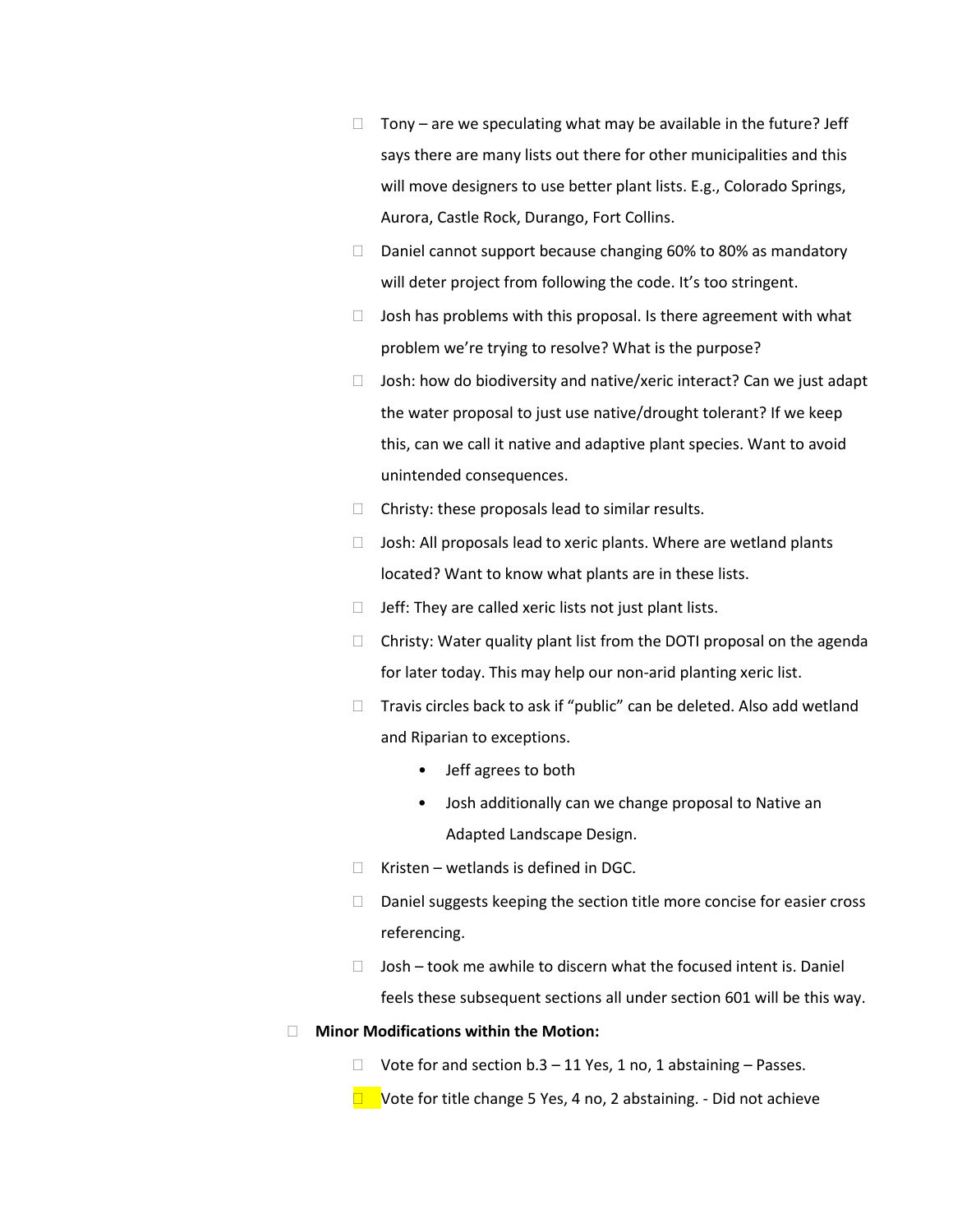- $\Box$  Tony are we speculating what may be available in the future? Jeff says there are many lists out there for other municipalities and this will move designers to use better plant lists. E.g., Colorado Springs, Aurora, Castle Rock, Durango, Fort Collins.
- $\Box$  Daniel cannot support because changing 60% to 80% as mandatory will deter project from following the code. It's too stringent.
- $\Box$  Josh has problems with this proposal. Is there agreement with what problem we're trying to resolve? What is the purpose?
- $\Box$  Josh: how do biodiversity and native/xeric interact? Can we just adapt the water proposal to just use native/drought tolerant? If we keep this, can we call it native and adaptive plant species. Want to avoid unintended consequences.
- $\Box$  Christy: these proposals lead to similar results.
- $\Box$  Josh: All proposals lead to xeric plants. Where are wetland plants located? Want to know what plants are in these lists.
- $\Box$  Jeff: They are called xeric lists not just plant lists.
- $\Box$  Christy: Water quality plant list from the DOTI proposal on the agenda for later today. This may help our non-arid planting xeric list.
- $\Box$  Travis circles back to ask if "public" can be deleted. Also add wetland and Riparian to exceptions.
	- Jeff agrees to both
	- Josh additionally can we change proposal to Native an Adapted Landscape Design.
- $\Box$  Kristen wetlands is defined in DGC.
- $\Box$  Daniel suggests keeping the section title more concise for easier cross referencing.
- $\Box$  Josh took me awhile to discern what the focused intent is. Daniel feels these subsequent sections all under section 601 will be this way.

## **Minor Modifications within the Motion:**

- $\Box$  Vote for and section b.3 11 Yes, 1 no, 1 abstaining Passes.
- $\Box$  Vote for title change 5 Yes, 4 no, 2 abstaining. Did not achieve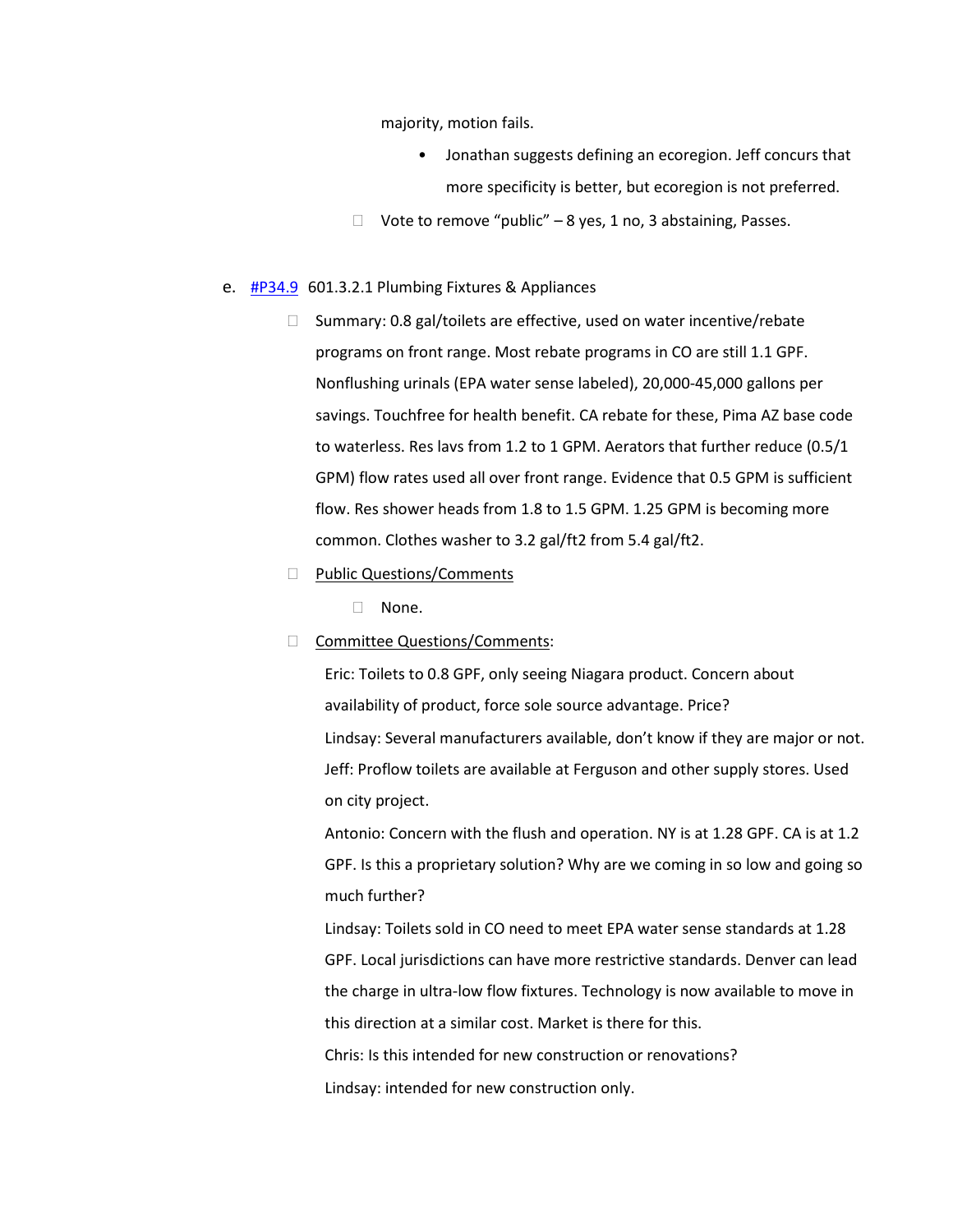majority, motion fails.

- Jonathan suggests defining an ecoregion. Jeff concurs that more specificity is better, but ecoregion is not preferred.
- $\Box$  Vote to remove "public" 8 yes, 1 no, 3 abstaining, Passes.

#### e. **[#P34.9](https://www.denvergov.org/files/assets/public/community-planning-and-development/documents/ds/building-codes/code-adoption/amendment-proposals/dgc/dgc-601.3.2.1.pdf)** 601.3.2.1 Plumbing Fixtures & Appliances

- $\Box$  Summary: 0.8 gal/toilets are effective, used on water incentive/rebate programs on front range. Most rebate programs in CO are still 1.1 GPF. Nonflushing urinals (EPA water sense labeled), 20,000-45,000 gallons per savings. Touchfree for health benefit. CA rebate for these, Pima AZ base code to waterless. Res lavs from 1.2 to 1 GPM. Aerators that further reduce (0.5/1 GPM) flow rates used all over front range. Evidence that 0.5 GPM is sufficient flow. Res shower heads from 1.8 to 1.5 GPM. 1.25 GPM is becoming more common. Clothes washer to 3.2 gal/ft2 from 5.4 gal/ft2.
- D Public Questions/Comments
	- □ None.
- □ Committee Questions/Comments:

Eric: Toilets to 0.8 GPF, only seeing Niagara product. Concern about availability of product, force sole source advantage. Price? Lindsay: Several manufacturers available, don't know if they are major or not. Jeff: Proflow toilets are available at Ferguson and other supply stores. Used on city project.

Antonio: Concern with the flush and operation. NY is at 1.28 GPF. CA is at 1.2 GPF. Is this a proprietary solution? Why are we coming in so low and going so much further?

Lindsay: Toilets sold in CO need to meet EPA water sense standards at 1.28 GPF. Local jurisdictions can have more restrictive standards. Denver can lead the charge in ultra-low flow fixtures. Technology is now available to move in this direction at a similar cost. Market is there for this.

Chris: Is this intended for new construction or renovations? Lindsay: intended for new construction only.